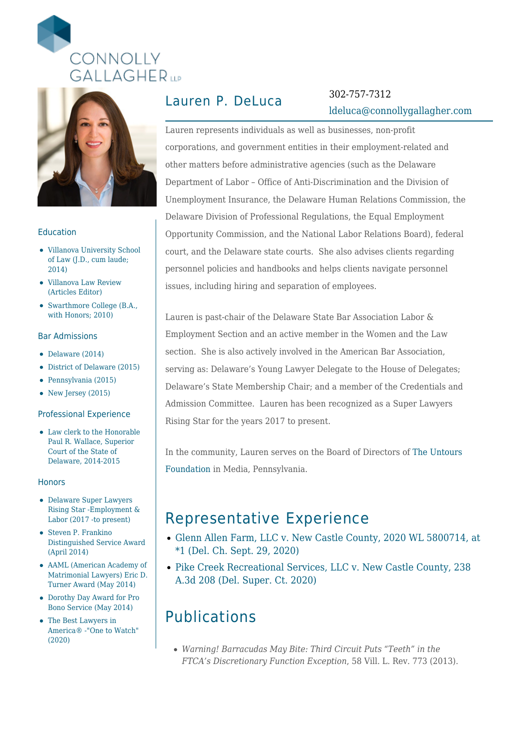



### Education

- Villanova University School of Law (J.D., cum laude; 2014)
- Villanova Law Review (Articles Editor)
- Swarthmore College (B.A., with Honors; 2010)

### Bar Admissions

- Delaware (2014)
- District of Delaware (2015)
- Pennsylvania (2015)
- New Jersey  $(2015)$

### Professional Experience

Law clerk to the Honorable Paul R. Wallace, Superior Court of the State of Delaware, 2014-2015

#### **Honors**

- Delaware Super Lawyers Rising Star -Employment & Labor (2017 -to present)
- Steven P. Frankino Distinguished Service Award (April 2014)
- AAML (American Academy of Matrimonial Lawyers) Eric D. Turner Award (May 2014)
- Dorothy Day Award for Pro Bono Service (May 2014)
- The Best Lawyers in America® -"One to Watch" (2020)

# Lauren P. DeLuca 302-757-7312

# [ldeluca@connollygallagher.com](mailto:ldeluca@connollygallagher.com)

Lauren represents individuals as well as businesses, non-profit corporations, and government entities in their employment-related and other matters before administrative agencies (such as the Delaware Department of Labor – Office of Anti-Discrimination and the Division of Unemployment Insurance, the Delaware Human Relations Commission, the Delaware Division of Professional Regulations, the Equal Employment Opportunity Commission, and the National Labor Relations Board), federal court, and the Delaware state courts. She also advises clients regarding personnel policies and handbooks and helps clients navigate personnel issues, including hiring and separation of employees.

Lauren is past-chair of the Delaware State Bar Association Labor & Employment Section and an active member in the Women and the Law section. She is also actively involved in the American Bar Association, serving as: Delaware's Young Lawyer Delegate to the House of Delegates; Delaware's State Membership Chair; and a member of the Credentials and Admission Committee. Lauren has been recognized as a Super Lawyers Rising Star for the years 2017 to present.

In the community, Lauren serves on the Board of Directors of [The Untours](https://untoursfoundation.org/) [Foundation](https://untoursfoundation.org/) in Media, Pennsylvania.

### Representative Experience

- [Glenn Allen Farm, LLC v. New Castle County, 2020 WL 5800714, at](https://www.connollygallagher.com/cases/glenn-allen-farm-llc-v-new-castle-county-2020-wl-5800714-at-1-del-ch-sept-29-2020-2/) [\\*1 \(Del. Ch. Sept. 29, 2020\)](https://www.connollygallagher.com/cases/glenn-allen-farm-llc-v-new-castle-county-2020-wl-5800714-at-1-del-ch-sept-29-2020-2/)
- [Pike Creek Recreational Services, LLC v. New Castle County, 238](https://www.connollygallagher.com/cases/pike-creek-recreational-services-llc-v-new-castle-county-2020-wl-4785549-at-1-del-super-ct-aug-18-2020-2/) [A.3d 208 \(Del. Super. Ct. 2020\)](https://www.connollygallagher.com/cases/pike-creek-recreational-services-llc-v-new-castle-county-2020-wl-4785549-at-1-del-super-ct-aug-18-2020-2/)

# Publications

*Warning! Barracudas May Bite: Third Circuit Puts "Teeth" in the FTCA's Discretionary Function Exception*, 58 Vill. L. Rev. 773 (2013).